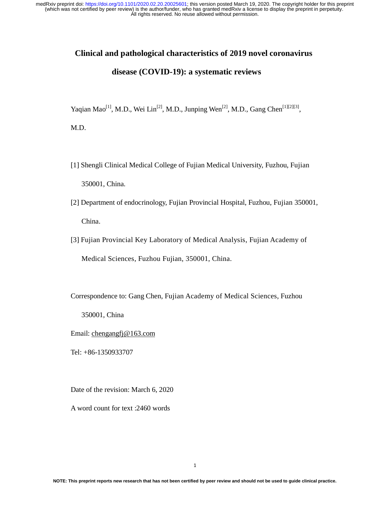# **Clinical and pathological characteristics of 2019 novel coronavirus**

# **disease (COVID-19): a systematic reviews**

Yaqian Mao<sup>[1]</sup>, M.D., Wei Lin<sup>[2]</sup>, M.D., Junping Wen<sup>[2]</sup>, M.D., Gang Chen<sup>[1][2][3]</sup>,

M.D.

- [1] Shengli Clinical Medical College of Fujian Medical University, Fuzhou, Fujian 350001, China.
- [2] Department of endocrinology, Fujian Provincial Hospital, Fuzhou, Fujian 350001, China.
- [3] Fujian Provincial Key Laboratory of Medical Analysis, Fujian Academy of Medical Sciences, Fuzhou Fujian, 350001, China.

Correspondence to: Gang Chen, Fujian Academy of Medical Sciences, Fuzhou

350001, China

Email: chengangfj@163.com

Tel: +86-1350933707

Date of the revision: March 6, 2020

A word count for text :2460 words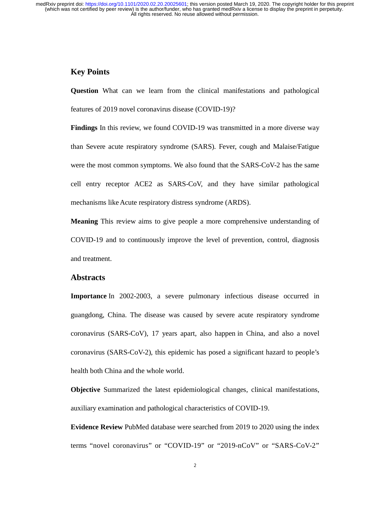# **Key Points**

**Question** What can we learn from the clinical manifestations and pathological features of 2019 novel coronavirus disease (COVID-19)?

Findings In this review, we found COVID-19 was transmitted in a more diverse way than Severe acute respiratory syndrome (SARS). Fever, cough and Malaise/Fatigue were the most common symptoms. We also found that the SARS-CoV-2 has the same cell entry receptor ACE2 as SARS-CoV, and they have similar pathological mechanisms like Acute respiratory distress syndrome (ARDS).

**Meaning** This review aims to give people a more comprehensive understanding of COVID-19 and to continuously improve the level of prevention, control, diagnosis and treatment.

# **Abstracts**

**Importance** In 2002-2003, a severe pulmonary infectious disease occurred in guangdong, China. The disease was caused by severe acute respiratory syndrome coronavirus (SARS-CoV), 17 years apart, also happen in China, and also a novel coronavirus (SARS-CoV-2), this epidemic has posed a significant hazard to people's health both China and the whole world.

**Objective** Summarized the latest epidemiological changes, clinical manifestations, auxiliary examination and pathological characteristics of COVID-19.

**Evidence Review** PubMed database were searched from 2019 to 2020 using the index terms "novel coronavirus" or "COVID-19" or "2019-nCoV" or "SARS-CoV-2"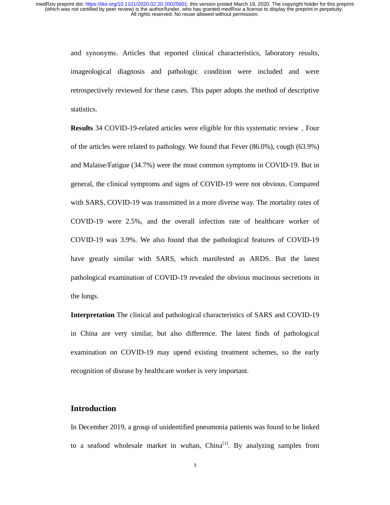> and synonyms. Articles that reported clinical characteristics, laboratory results, imageological diagnosis and pathologic condition were included and were retrospectively reviewed for these cases. This paper adopts the method of descriptive statistics.

> **Results** 34 COVID-19-related articles were eligible for this systematic review, Four of the articles were related to pathology. We found that Fever (86.0%), cough (63.9%) and Malaise/Fatigue (34.7%) were the most common symptoms in COVID-19. But in general, the clinical symptoms and signs of COVID-19 were not obvious. Compared with SARS, COVID-19 was transmitted in a more diverse way. The mortality rates of COVID-19 were 2.5%, and the overall infection rate of healthcare worker of COVID-19 was 3.9%. We also found that the pathological features of COVID-19 have greatly similar with SARS, which manifested as ARDS. But the latest pathological examination of COVID-19 revealed the obvious mucinous secretions in the lungs.

> **Interpretation** The clinical and pathological characteristics of SARS and COVID-19 in China are very similar, but also difference. The latest finds of pathological examination on COVID-19 may upend existing treatment schemes, so the early recognition of disease by healthcare worker is very important.

# **Introduction**

In December 2019, a group of unidentified pneumonia patients was found to be linked to a seafood wholesale market in wuhan,  $China<sup>[1]</sup>$ . By analyzing samples from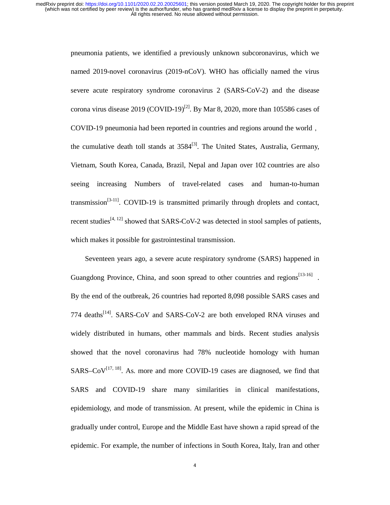> pneumonia patients, we identified a previously unknown subcoronavirus, which we named 2019-novel coronavirus (2019-nCoV). WHO has officially named the virus severe acute respiratory syndrome coronavirus 2 (SARS-CoV-2) and the disease corona virus disease 2019 (COVID-19)<sup>[2]</sup>. By Mar 8, 2020, more than 105586 cases of COVID-19 pneumonia had been reported in countries and regions around the world, the cumulative death toll stands at  $3584^{[3]}$ . The United States, Australia, Germany, Vietnam, South Korea, Canada, Brazil, Nepal and Japan over 102 countries are also seeing increasing Numbers of travel-related cases and human-to-human transmission<sup>[3-11]</sup>. COVID-19 is transmitted primarily through droplets and contact, recent studies<sup>[4, 12]</sup> showed that SARS-CoV-2 was detected in stool samples of patients, which makes it possible for gastrointestinal transmission.

> Seventeen years ago, a severe acute respiratory syndrome (SARS) happened in Guangdong Province, China, and soon spread to other countries and regions  $[13-16]$ . By the end of the outbreak, 26 countries had reported 8,098 possible SARS cases and 774 deaths<sup>[14]</sup>. SARS-CoV and SARS-CoV-2 are both enveloped RNA viruses and widely distributed in humans, other mammals and birds. Recent studies analysis showed that the novel coronavirus had 78% nucleotide homology with human  $SARS-CoV^{[17, 18]}$ . As. more and more COVID-19 cases are diagnosed, we find that SARS and COVID-19 share many similarities in clinical manifestations, epidemiology, and mode of transmission. At present, while the epidemic in China is gradually under control, Europe and the Middle East have shown a rapid spread of the epidemic. For example, the number of infections in South Korea, Italy, Iran and other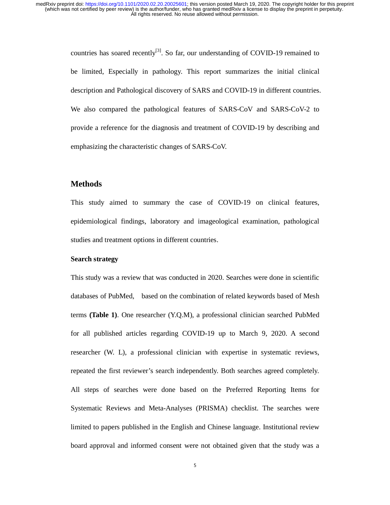> countries has soared recently<sup>[3]</sup>. So far, our understanding of COVID-19 remained to be limited, Especially in pathology. This report summarizes the initial clinical description and Pathological discovery of SARS and COVID-19 in different countries. We also compared the pathological features of SARS-CoV and SARS-CoV-2 to provide a reference for the diagnosis and treatment of COVID-19 by describing and emphasizing the characteristic changes of SARS-CoV.

## **Methods**

This study aimed to summary the case of COVID-19 on clinical features, epidemiological findings, laboratory and imageological examination, pathological studies and treatment options in different countries.

## **Search strategy**

This study was a review that was conducted in 2020. Searches were done in scientific databases of PubMed, based on the combination of related keywords based of Mesh terms **(Table 1)**. One researcher (Y.Q.M), a professional clinician searched PubMed for all published articles regarding COVID-19 up to March 9, 2020. A second researcher (W. L), a professional clinician with expertise in systematic reviews, repeated the first reviewer's search independently. Both searches agreed completely. All steps of searches were done based on the Preferred Reporting Items for Systematic Reviews and Meta-Analyses (PRISMA) checklist. The searches were limited to papers published in the English and Chinese language. Institutional review board approval and informed consent were not obtained given that the study was a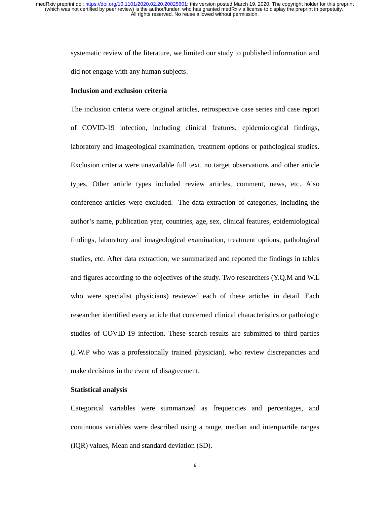> systematic review of the literature, we limited our study to published information and did not engage with any human subjects.

#### **Inclusion and exclusion criteria**

The inclusion criteria were original articles, retrospective case series and case report of COVID-19 infection, including clinical features, epidemiological findings, laboratory and imageological examination, treatment options or pathological studies. Exclusion criteria were unavailable full text, no target observations and other article types, Other article types included review articles, comment, news, etc. Also conference articles were excluded. The data extraction of categories, including the author's name, publication year, countries, age, sex, clinical features, epidemiological findings, laboratory and imageological examination, treatment options, pathological studies, etc. After data extraction, we summarized and reported the findings in tables and figures according to the objectives of the study. Two researchers (Y.Q.M and W.L who were specialist physicians) reviewed each of these articles in detail. Each researcher identified every article that concerned clinical characteristics or pathologic studies of COVID-19 infection. These search results are submitted to third parties (J.W.P who was a professionally trained physician), who review discrepancies and make decisions in the event of disagreement.

#### **Statistical analysis**

Categorical variables were summarized as frequencies and percentages, and continuous variables were described using a range, median and interquartile ranges (IQR) values, Mean and standard deviation (SD).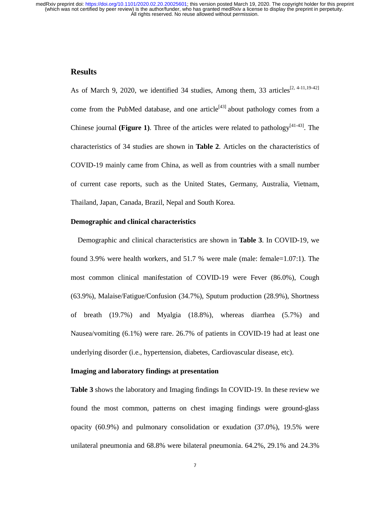# **Results**

As of March 9, 2020, we identified 34 studies, Among them, 33 articles<sup>[2, 4-11,19-42]</sup> come from the PubMed database, and one article<sup>[43]</sup> about pathology comes from a Chinese journal **(Figure 1)**. Three of the articles were related to pathology<sup>[41-43]</sup>. The characteristics of 34 studies are shown in **Table 2**. Articles on the characteristics of COVID-19 mainly came from China, as well as from countries with a small number of current case reports, such as the United States, Germany, Australia, Vietnam, Thailand, Japan, Canada, Brazil, Nepal and South Korea.

### **Demographic and clinical characteristics**

Demographic and clinical characteristics are shown in **Table 3**. In COVID-19, we found 3.9% were health workers, and 51.7 % were male (male: female=1.07:1). The most common clinical manifestation of COVID-19 were Fever (86.0%), Cough (63.9%), Malaise/Fatigue/Confusion (34.7%), Sputum production (28.9%), Shortness of breath (19.7%) and Myalgia (18.8%), whereas diarrhea (5.7%) and Nausea/vomiting (6.1%) were rare. 26.7% of patients in COVID-19 had at least one underlying disorder (i.e., hypertension, diabetes, Cardiovascular disease, etc).

## **Imaging and laboratory findings at presentation**

**Table 3** shows the laboratory and Imaging findings In COVID-19. In these review we found the most common, patterns on chest imaging findings were ground-glass opacity (60.9%) and pulmonary consolidation or exudation (37.0%), 19.5% were unilateral pneumonia and 68.8% were bilateral pneumonia. 64.2%, 29.1% and 24.3%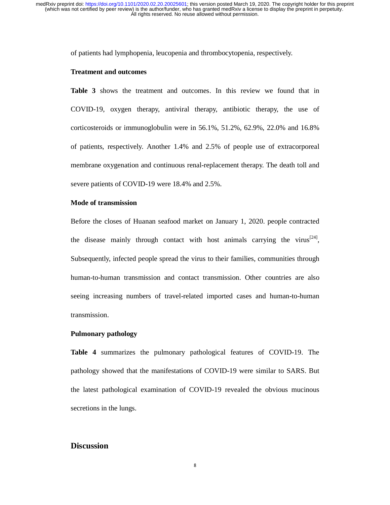of patients had lymphopenia, leucopenia and thrombocytopenia, respectively.

#### **Treatment and outcomes**

**Table 3** shows the treatment and outcomes. In this review we found that in COVID-19, oxygen therapy, antiviral therapy, antibiotic therapy, the use of corticosteroids or immunoglobulin were in 56.1%, 51.2%, 62.9%, 22.0% and 16.8% of patients, respectively. Another 1.4% and 2.5% of people use of extracorporeal membrane oxygenation and continuous renal-replacement therapy. The death toll and severe patients of COVID-19 were 18.4% and 2.5%.

#### **Mode of transmission**

Before the closes of Huanan seafood market on January 1, 2020. people contracted the disease mainly through contact with host animals carrying the virus<sup>[24]</sup>, Subsequently, infected people spread the virus to their families, communities through human-to-human transmission and contact transmission. Other countries are also seeing increasing numbers of travel-related imported cases and human-to-human transmission.

## **Pulmonary pathology**

**Table 4** summarizes the pulmonary pathological features of COVID-19. The pathology showed that the manifestations of COVID-19 were similar to SARS. But the latest pathological examination of COVID-19 revealed the obvious mucinous secretions in the lungs.

# **Discussion**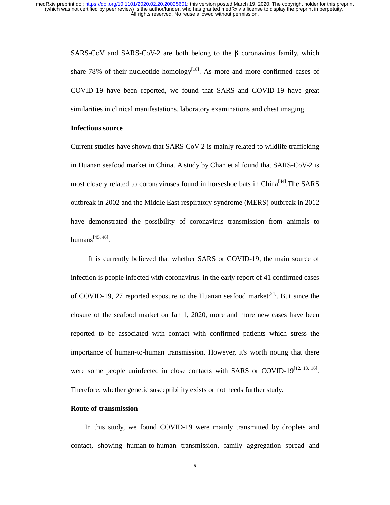SARS-CoV and SARS-CoV-2 are both belong to the  $\beta$  coronavirus family, which share 78% of their nucleotide homology<sup>[18]</sup>. As more and more confirmed cases of COVID-19 have been reported, we found that SARS and COVID-19 have great similarities in clinical manifestations, laboratory examinations and chest imaging.

# **Infectious source**

Current studies have shown that SARS-CoV-2 is mainly related to wildlife trafficking in Huanan seafood market in China. A study by Chan et al found that SARS-CoV-2 is most closely related to coronaviruses found in horseshoe bats in China<sup>[44]</sup>.The SARS outbreak in 2002 and the Middle East respiratory syndrome (MERS) outbreak in 2012 have demonstrated the possibility of coronavirus transmission from animals to humans $[45, 46]$ .

 It is currently believed that whether SARS or COVID-19, the main source of infection is people infected with coronavirus. in the early report of 41 confirmed cases of COVID-19, 27 reported exposure to the Huanan seafood market<sup>[24]</sup>. But since the closure of the seafood market on Jan 1, 2020, more and more new cases have been reported to be associated with contact with confirmed patients which stress the importance of human-to-human transmission. However, it's worth noting that there were some people uninfected in close contacts with SARS or COVID-19<sup>[12, 13, 16]</sup>. Therefore, whether genetic susceptibility exists or not needs further study.

# **Route of transmission**

In this study, we found COVID-19 were mainly transmitted by droplets and contact, showing human-to-human transmission, family aggregation spread and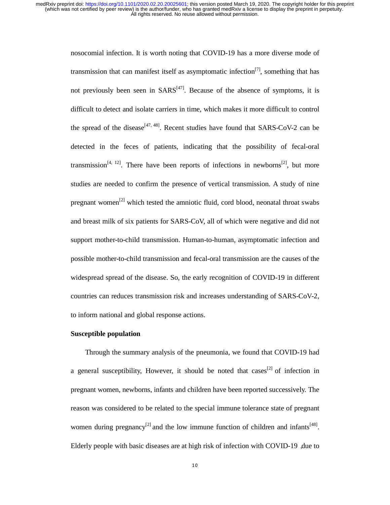> nosocomial infection. It is worth noting that COVID-19 has a more diverse mode of transmission that can manifest itself as asymptomatic infection<sup>[7]</sup>, something that has not previously been seen in  $SARS^{[47]}$ . Because of the absence of symptoms, it is difficult to detect and isolate carriers in time, which makes it more difficult to control the spread of the disease<sup>[47, 48]</sup>. Recent studies have found that SARS-CoV-2 can be detected in the feces of patients, indicating that the possibility of fecal-oral transmission<sup>[4, 12]</sup>. There have been reports of infections in newborns<sup>[2]</sup>, but more studies are needed to confirm the presence of vertical transmission. A study of nine pregnant women<sup>[2]</sup> which tested the amniotic fluid, cord blood, neonatal throat swabs and breast milk of six patients for SARS-CoV, all of which were negative and did not support mother-to-child transmission. Human-to-human, asymptomatic infection and possible mother-to-child transmission and fecal-oral transmission are the causes of the widespread spread of the disease. So, the early recognition of COVID-19 in different countries can reduces transmission risk and increases understanding of SARS-CoV-2, to inform national and global response actions.

## **Susceptible population**

 Through the summary analysis of the pneumonia, we found that COVID-19 had a general susceptibility, However, it should be noted that cases<sup>[2]</sup> of infection in pregnant women, newborns, infants and children have been reported successively. The reason was considered to be related to the special immune tolerance state of pregnant women during pregnancy<sup>[2]</sup> and the low immune function of children and infants<sup>[48]</sup>. Elderly people with basic diseases are at high risk of infection with COVID-19, due to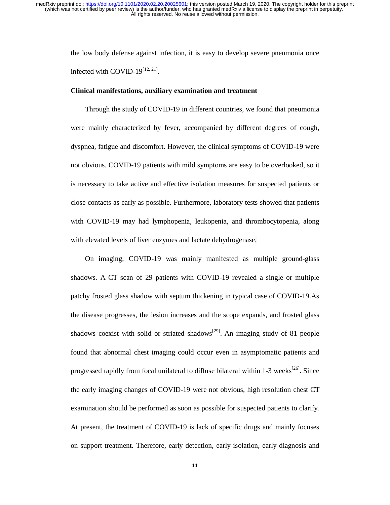> the low body defense against infection, it is easy to develop severe pneumonia once infected with COVID-19 $^{[12, 21]}$ .

#### **Clinical manifestations, auxiliary examination and treatment**

 Through the study of COVID-19 in different countries, we found that pneumonia were mainly characterized by fever, accompanied by different degrees of cough, dyspnea, fatigue and discomfort. However, the clinical symptoms of COVID-19 were not obvious. COVID-19 patients with mild symptoms are easy to be overlooked, so it is necessary to take active and effective isolation measures for suspected patients or close contacts as early as possible. Furthermore, laboratory tests showed that patients with COVID-19 may had lymphopenia, leukopenia, and thrombocytopenia, along with elevated levels of liver enzymes and lactate dehydrogenase.

On imaging, COVID-19 was mainly manifested as multiple ground-glass shadows. A CT scan of 29 patients with COVID-19 revealed a single or multiple patchy frosted glass shadow with septum thickening in typical case of COVID-19.As the disease progresses, the lesion increases and the scope expands, and frosted glass shadows coexist with solid or striated shadows<sup>[29]</sup>. An imaging study of 81 people found that abnormal chest imaging could occur even in asymptomatic patients and progressed rapidly from focal unilateral to diffuse bilateral within  $1-3$  weeks<sup>[26]</sup>. Since the early imaging changes of COVID-19 were not obvious, high resolution chest CT examination should be performed as soon as possible for suspected patients to clarify. At present, the treatment of COVID-19 is lack of specific drugs and mainly focuses on support treatment. Therefore, early detection, early isolation, early diagnosis and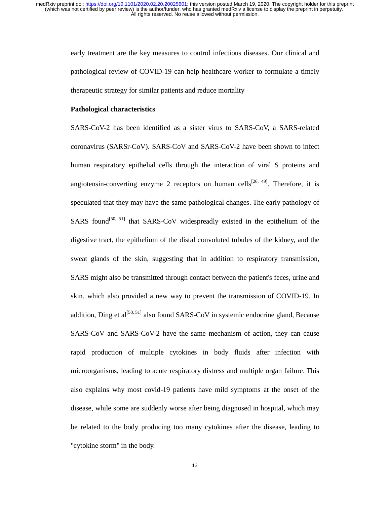early treatment are the key measures to control infectious diseases. Our clinical and pathological review of COVID-19 can help healthcare worker to formulate a timely therapeutic strategy for similar patients and reduce mortality

### **Pathological characteristics**

SARS-CoV-2 has been identified as a sister virus to SARS-CoV, a SARS-related coronavirus (SARSr-CoV). SARS-CoV and SARS-CoV-2 have been shown to infect human respiratory epithelial cells through the interaction of viral S proteins and angiotensin-converting enzyme 2 receptors on human cells<sup>[26, 49]</sup>. Therefore, it is speculated that they may have the same pathological changes. The early pathology of SARS found<sup>[50, 51]</sup> that SARS-CoV widespreadly existed in the epithelium of the digestive tract, the epithelium of the distal convoluted tubules of the kidney, and the sweat glands of the skin, suggesting that in addition to respiratory transmission, SARS might also be transmitted through contact between the patient's feces, urine and skin. which also provided a new way to prevent the transmission of COVID-19. In addition, Ding et  $al^{[50, 51]}$  also found SARS-CoV in systemic endocrine gland, Because SARS-CoV and SARS-CoV-2 have the same mechanism of action, they can cause rapid production of multiple cytokines in body fluids after infection with microorganisms, leading to acute respiratory distress and multiple organ failure. This also explains why most covid-19 patients have mild symptoms at the onset of the disease, while some are suddenly worse after being diagnosed in hospital, which may be related to the body producing too many cytokines after the disease, leading to "cytokine storm" in the body.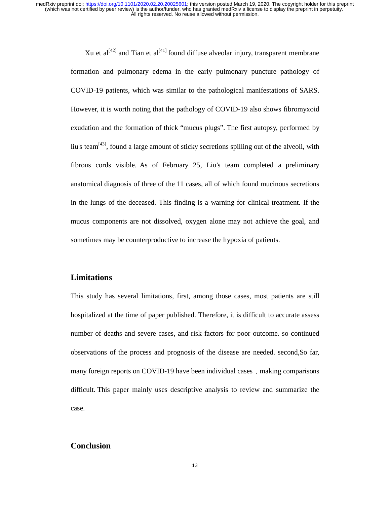> Xu et  $al^{[42]}$  and Tian et  $al^{[41]}$  found diffuse alveolar injury, transparent membrane formation and pulmonary edema in the early pulmonary puncture pathology of COVID-19 patients, which was similar to the pathological manifestations of SARS. However, it is worth noting that the pathology of COVID-19 also shows fibromyxoid exudation and the formation of thick "mucus plugs". The first autopsy, performed by liu's team<sup>[43]</sup>, found a large amount of sticky secretions spilling out of the alveoli, with fibrous cords visible. As of February 25, Liu's team completed a preliminary anatomical diagnosis of three of the 11 cases, all of which found mucinous secretions in the lungs of the deceased. This finding is a warning for clinical treatment. If the mucus components are not dissolved, oxygen alone may not achieve the goal, and sometimes may be counterproductive to increase the hypoxia of patients.

# **Limitations**

This study has several limitations, first, among those cases, most patients are still hospitalized at the time of paper published. Therefore, it is difficult to accurate assess number of deaths and severe cases, and risk factors for poor outcome. so continued observations of the process and prognosis of the disease are needed. second,So far, many foreign reports on COVID-19 have been individual cases, making comparisons difficult. This paper mainly uses descriptive analysis to review and summarize the case.

# **Conclusion**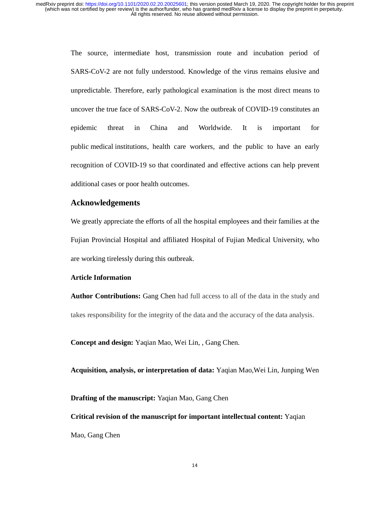> The source, intermediate host, transmission route and incubation period of SARS-CoV-2 are not fully understood. Knowledge of the virus remains elusive and unpredictable. Therefore, early pathological examination is the most direct means to uncover the true face of SARS-CoV-2. Now the outbreak of COVID-19 constitutes an epidemic threat in China and Worldwide. It is important for public medical institutions, health care workers, and the public to have an early recognition of COVID-19 so that coordinated and effective actions can help prevent additional cases or poor health outcomes.

# **Acknowledgements**

We greatly appreciate the efforts of all the hospital employees and their families at the Fujian Provincial Hospital and affiliated Hospital of Fujian Medical University, who are working tirelessly during this outbreak.

## **Article Information**

**Author Contributions:** Gang Chen had full access to all of the data in the study and takes responsibility for the integrity of the data and the accuracy of the data analysis.

**Concept and design:** Yaqian Mao, Wei Lin, , Gang Chen.

**Acquisition, analysis, or interpretation of data:** Yaqian Mao,Wei Lin, Junping Wen

**Drafting of the manuscript:** Yaqian Mao, Gang Chen

**Critical revision of the manuscript for important intellectual content:** Yaqian Mao, Gang Chen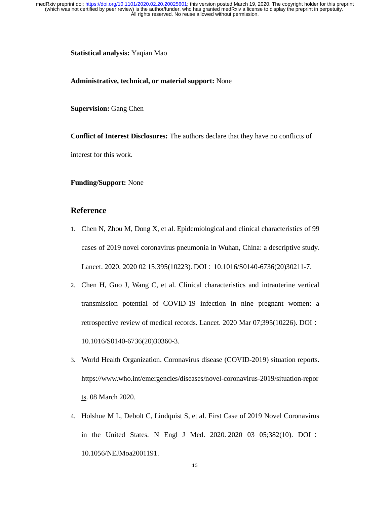**Statistical analysis:** Yaqian Mao

**Administrative, technical, or material support:** None

**Supervision:** Gang Chen

**Conflict of Interest Disclosures:** The authors declare that they have no conflicts of interest for this work.

**Funding/Support:** None

# **Reference**

- 1. Chen N, Zhou M, Dong X, et al. Epidemiological and clinical characteristics of 99 cases of 2019 novel coronavirus pneumonia in Wuhan, China: a descriptive study. Lancet. 2020. 2020 02 15;395(10223). DOI: 10.1016/S0140-6736(20)30211-7.
- 2. Chen H, Guo J, Wang C, et al. Clinical characteristics and intrauterine vertical transmission potential of COVID-19 infection in nine pregnant women: a retrospective review of medical records. Lancet. 2020 Mar 07;395(10226). DOI: 10.1016/S0140-6736(20)30360-3.
- 3. World Health Organization. Coronavirus disease (COVID-2019) situation reports. https://www.who.int/emergencies/diseases/novel-coronavirus-2019/situation-repor ts. 08 March 2020.
- 4. Holshue M L, Debolt C, Lindquist S, et al. First Case of 2019 Novel Coronavirus in the United States. N Engl J Med. 2020. 2020 03 05;382(10). DOI: 10.1056/NEJMoa2001191.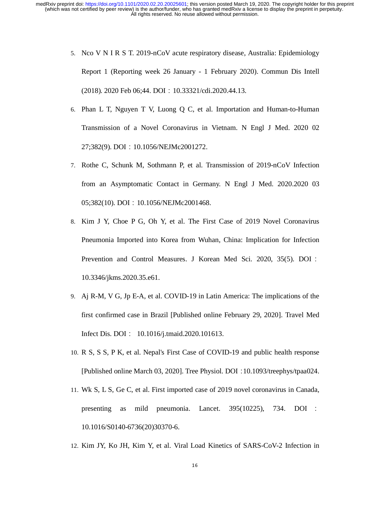- 5. Nco V N I R S T. 2019-nCoV acute respiratory disease, Australia: Epidemiology Report 1 (Reporting week 26 January - 1 February 2020). Commun Dis Intell (2018). 2020 Feb 06;44. DOI:10.33321/cdi.2020.44.13.
- 6. Phan L T, Nguyen T V, Luong Q C, et al. Importation and Human-to-Human Transmission of a Novel Coronavirus in Vietnam. N Engl J Med. 2020 02 27;382(9). DOI:10.1056/NEJMc2001272.
- 7. Rothe C, Schunk M, Sothmann P, et al. Transmission of 2019-nCoV Infection from an Asymptomatic Contact in Germany. N Engl J Med. 2020.2020 03 05;382(10). DOI: 10.1056/NEJMc2001468.
- 8. Kim J Y, Choe P G, Oh Y, et al. The First Case of 2019 Novel Coronavirus Pneumonia Imported into Korea from Wuhan, China: Implication for Infection Prevention and Control Measures. J Korean Med Sci. 2020, 35(5). DOI: 10.3346/jkms.2020.35.e61.
- 9. Aj R-M, V G, Jp E-A, et al. COVID-19 in Latin America: The implications of the first confirmed case in Brazil [Published online February 29, 2020]. Travel Med Infect Dis. DOI: 10.1016/j.tmaid.2020.101613.
- 10. R S, S S, P K, et al. Nepal's First Case of COVID-19 and public health response [Published online March 03, 2020]. Tree Physiol. DOI:10.1093/treephys/tpaa024.
- 11. Wk S, L S, Ge C, et al. First imported case of 2019 novel coronavirus in Canada, presenting as mild pneumonia. Lancet. 395(10225), 734. DOI : 10.1016/S0140-6736(20)30370-6.
- 12. Kim JY, Ko JH, Kim Y, et al. Viral Load Kinetics of SARS-CoV-2 Infection in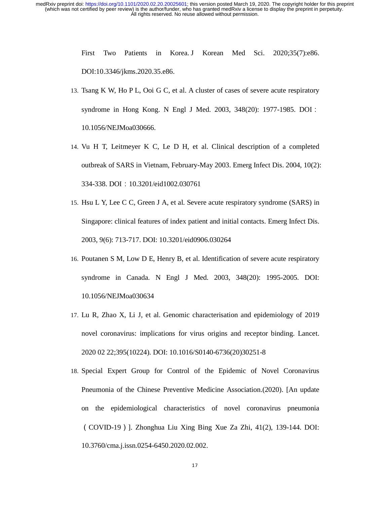> First Two Patients in Korea. J Korean Med Sci. 2020;35(7):e86. DOI:10.3346/jkms.2020.35.e86.

- 13. Tsang K W, Ho P L, Ooi G C, et al. A cluster of cases of severe acute respiratory syndrome in Hong Kong. N Engl J Med. 2003, 348(20): 1977-1985. DOI: 10.1056/NEJMoa030666.
- 14. Vu H T, Leitmeyer K C, Le D H, et al. Clinical description of a completed outbreak of SARS in Vietnam, February-May 2003. Emerg Infect Dis. 2004, 10(2): 334-338. DOI:10.3201/eid1002.030761
- 15. Hsu L Y, Lee C C, Green J A, et al. Severe acute respiratory syndrome (SARS) in Singapore: clinical features of index patient and initial contacts. Emerg Infect Dis. 2003, 9(6): 713-717. DOI: 10.3201/eid0906.030264
- 16. Poutanen S M, Low D E, Henry B, et al. Identification of severe acute respiratory syndrome in Canada. N Engl J Med. 2003, 348(20): 1995-2005. DOI: 10.1056/NEJMoa030634
- 17. Lu R, Zhao X, Li J, et al. Genomic characterisation and epidemiology of 2019 novel coronavirus: implications for virus origins and receptor binding. Lancet. 2020 02 22;395(10224). DOI: 10.1016/S0140-6736(20)30251-8
- 18. Special Expert Group for Control of the Epidemic of Novel Coronavirus Pneumonia of the Chinese Preventive Medicine Association.(2020). [An update on the epidemiological characteristics of novel coronavirus pneumonia (COVID-19)]. Zhonghua Liu Xing Bing Xue Za Zhi, 41(2), 139-144. DOI: 10.3760/cma.j.issn.0254-6450.2020.02.002.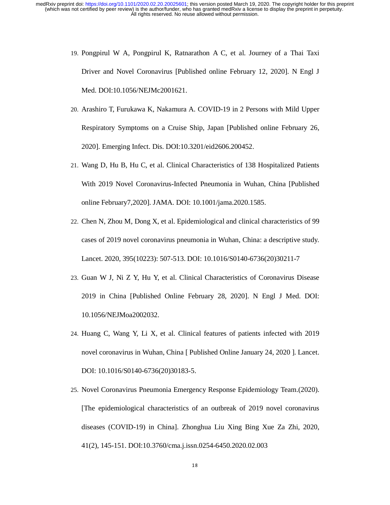- 19. Pongpirul W A, Pongpirul K, Ratnarathon A C, et al. Journey of a Thai Taxi Driver and Novel Coronavirus [Published online February 12, 2020]. N Engl J Med. DOI:10.1056/NEJMc2001621.
- 20. Arashiro T, Furukawa K, Nakamura A. COVID-19 in 2 Persons with Mild Upper Respiratory Symptoms on a Cruise Ship, Japan [Published online February 26, 2020]. Emerging Infect. Dis. DOI:10.3201/eid2606.200452.
- 21. Wang D, Hu B, Hu C, et al. Clinical Characteristics of 138 Hospitalized Patients With 2019 Novel Coronavirus-Infected Pneumonia in Wuhan, China [Published online February7,2020]. JAMA. DOI: 10.1001/jama.2020.1585.
- 22. Chen N, Zhou M, Dong X, et al. Epidemiological and clinical characteristics of 99 cases of 2019 novel coronavirus pneumonia in Wuhan, China: a descriptive study. Lancet. 2020, 395(10223): 507-513. DOI: 10.1016/S0140-6736(20)30211-7
- 23. Guan W J, Ni Z Y, Hu Y, et al. Clinical Characteristics of Coronavirus Disease 2019 in China [Published Online February 28, 2020]. N Engl J Med. DOI: 10.1056/NEJMoa2002032.
- 24. Huang C, Wang Y, Li X, et al. Clinical features of patients infected with 2019 novel coronavirus in Wuhan, China [ Published Online January 24, 2020 ]. Lancet. DOI: 10.1016/S0140-6736(20)30183-5.
- 25. Novel Coronavirus Pneumonia Emergency Response Epidemiology Team.(2020). [The epidemiological characteristics of an outbreak of 2019 novel coronavirus diseases (COVID-19) in China]. Zhonghua Liu Xing Bing Xue Za Zhi, 2020, 41(2), 145-151. DOI:10.3760/cma.j.issn.0254-6450.2020.02.003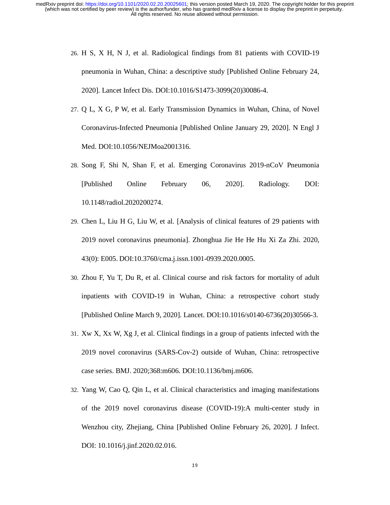- 26. H S, X H, N J, et al. Radiological findings from 81 patients with COVID-19 pneumonia in Wuhan, China: a descriptive study [Published Online February 24, 2020]. Lancet Infect Dis. DOI:10.1016/S1473-3099(20)30086-4.
- 27. Q L, X G, P W, et al. Early Transmission Dynamics in Wuhan, China, of Novel Coronavirus-Infected Pneumonia [Published Online January 29, 2020]. N Engl J Med. DOI:10.1056/NEJMoa2001316.
- 28. Song F, Shi N, Shan F, et al. Emerging Coronavirus 2019-nCoV Pneumonia [Published Online February 06, 2020]. Radiology. DOI: 10.1148/radiol.2020200274.
- 29. Chen L, Liu H G, Liu W, et al. [Analysis of clinical features of 29 patients with 2019 novel coronavirus pneumonia]. Zhonghua Jie He He Hu Xi Za Zhi. 2020, 43(0): E005. DOI:10.3760/cma.j.issn.1001-0939.2020.0005.
- 30. Zhou F, Yu T, Du R, et al. Clinical course and risk factors for mortality of adult inpatients with COVID-19 in Wuhan, China: a retrospective cohort study [Published Online March 9, 2020]. Lancet. DOI:10.1016/s0140-6736(20)30566-3.
- 31. Xw X, Xx W, Xg J, et al. Clinical findings in a group of patients infected with the 2019 novel coronavirus (SARS-Cov-2) outside of Wuhan, China: retrospective case series. BMJ. 2020;368:m606. DOI:10.1136/bmj.m606.
- 32. Yang W, Cao Q, Qin L, et al. Clinical characteristics and imaging manifestations of the 2019 novel coronavirus disease (COVID-19):A multi-center study in Wenzhou city, Zhejiang, China [Published Online February 26, 2020]. J Infect. DOI: 10.1016/j.jinf.2020.02.016.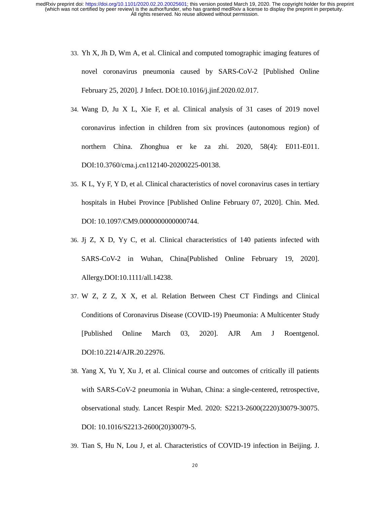- 33. Yh X, Jh D, Wm A, et al. Clinical and computed tomographic imaging features of novel coronavirus pneumonia caused by SARS-CoV-2 [Published Online February 25, 2020]. J Infect. DOI:10.1016/j.jinf.2020.02.017.
- 34. Wang D, Ju X L, Xie F, et al. Clinical analysis of 31 cases of 2019 novel coronavirus infection in children from six provinces (autonomous region) of northern China. Zhonghua er ke za zhi. 2020, 58(4): E011-E011. DOI:10.3760/cma.j.cn112140-20200225-00138.
- 35. K L, Yy F, Y D, et al. Clinical characteristics of novel coronavirus cases in tertiary hospitals in Hubei Province [Published Online February 07, 2020]. Chin. Med. DOI: 10.1097/CM9.0000000000000744.
- 36. Jj Z, X D, Yy C, et al. Clinical characteristics of 140 patients infected with SARS-CoV-2 in Wuhan, China[Published Online February 19, 2020]. Allergy.DOI:10.1111/all.14238.
- 37. W Z, Z Z, X X, et al. Relation Between Chest CT Findings and Clinical Conditions of Coronavirus Disease (COVID-19) Pneumonia: A Multicenter Study [Published Online March 03, 2020]. AJR Am J Roentgenol. DOI:10.2214/AJR.20.22976.
- 38. Yang X, Yu Y, Xu J, et al. Clinical course and outcomes of critically ill patients with SARS-CoV-2 pneumonia in Wuhan, China: a single-centered, retrospective, observational study. Lancet Respir Med. 2020: S2213-2600(2220)30079-30075. DOI: 10.1016/S2213-2600(20)30079-5.
- 39. Tian S, Hu N, Lou J, et al. Characteristics of COVID-19 infection in Beijing. J.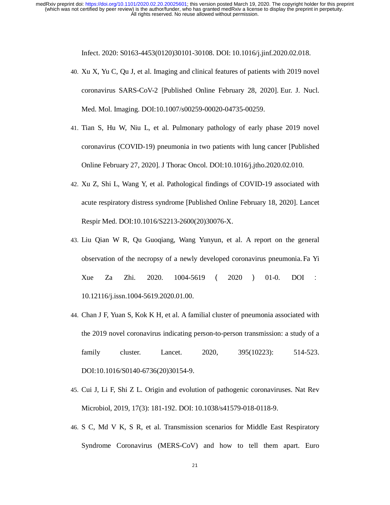Infect. 2020: S0163-4453(0120)30101-30108. DOI: 10.1016/j.jinf.2020.02.018.

- 40. Xu X, Yu C, Qu J, et al. Imaging and clinical features of patients with 2019 novel coronavirus SARS-CoV-2 [Published Online February 28, 2020]. Eur. J. Nucl. Med. Mol. Imaging. DOI:10.1007/s00259-00020-04735-00259.
- 41. Tian S, Hu W, Niu L, et al. Pulmonary pathology of early phase 2019 novel coronavirus (COVID-19) pneumonia in two patients with lung cancer [Published Online February 27, 2020]. J Thorac Oncol. DOI:10.1016/j.jtho.2020.02.010.
- 42. Xu Z, Shi L, Wang Y, et al. Pathological findings of COVID-19 associated with acute respiratory distress syndrome [Published Online February 18, 2020]. Lancet Respir Med. DOI:10.1016/S2213-2600(20)30076-X.
- 43. Liu Qian W R, Qu Guoqiang, Wang Yunyun, et al. A report on the general observation of the necropsy of a newly developed coronavirus pneumonia. Fa Yi Xue Za Zhi. 2020. 1004-5619 ( <sup>2020</sup> ) 01-0. DOI : 10.12116/j.issn.1004-5619.2020.01.00.
- 44. Chan J F, Yuan S, Kok K H, et al. A familial cluster of pneumonia associated with the 2019 novel coronavirus indicating person-to-person transmission: a study of a family cluster. Lancet. 2020, 395(10223): 514-523. DOI:10.1016/S0140-6736(20)30154-9.
- 45. Cui J, Li F, Shi Z L. Origin and evolution of pathogenic coronaviruses. Nat Rev Microbiol, 2019, 17(3): 181-192. DOI: 10.1038/s41579-018-0118-9.
- 46. S C, Md V K, S R, et al. Transmission scenarios for Middle East Respiratory Syndrome Coronavirus (MERS-CoV) and how to tell them apart. Euro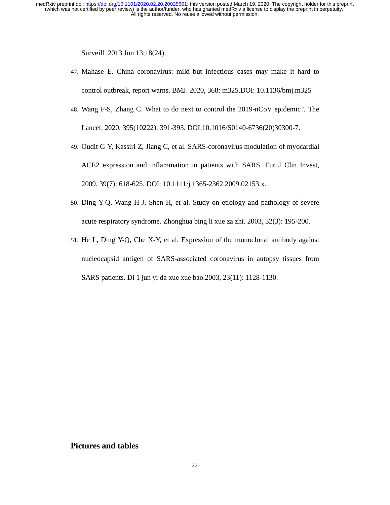Surveill .2013 Jun 13;18(24).

- 47. Mahase E. China coronavirus: mild but infectious cases may make it hard to control outbreak, report warns. BMJ. 2020, 368: m325.DOI: 10.1136/bmj.m325
- 48. Wang F-S, Zhang C. What to do next to control the 2019-nCoV epidemic?. The Lancet. 2020, 395(10222): 391-393. DOI:10.1016/S0140-6736(20)30300-7.
- 49. Oudit G Y, Kassiri Z, Jiang C, et al. SARS-coronavirus modulation of myocardial ACE2 expression and inflammation in patients with SARS. Eur J Clin Invest, 2009, 39(7): 618-625. DOI: 10.1111/j.1365-2362.2009.02153.x.
- 50. Ding Y-Q, Wang H-J, Shen H, et al. Study on etiology and pathology of severe acute respiratory syndrome. Zhonghua bing li xue za zhi. 2003, 32(3): 195-200.
- 51. He L, Ding Y-Q, Che X-Y, et al. Expression of the monoclonal antibody against nucleocapsid antigen of SARS-associated coronavirus in autopsy tissues from SARS patients. Di 1 jun yi da xue xue bao.2003, 23(11): 1128-1130.

# **Pictures and tables**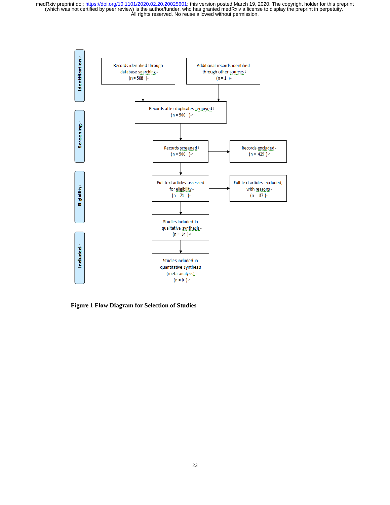

**Figure 1 Flow Diagram for Selection of Studies**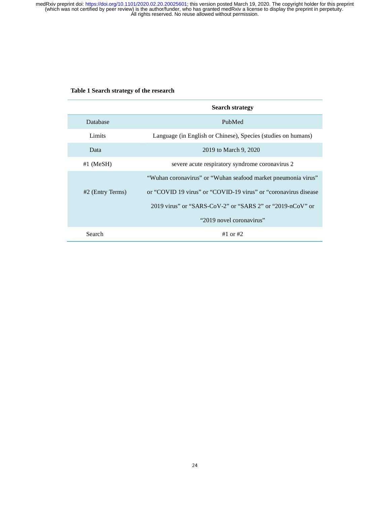### **Table 1 Search strategy of the research**

|                    | <b>Search strategy</b>                                          |
|--------------------|-----------------------------------------------------------------|
| <b>Database</b>    | PubMed                                                          |
| Limits             | Language (in English or Chinese), Species (studies on humans)   |
| Data               | 2019 to March 9, 2020                                           |
| $#1$ (MeSH)        | severe acute respiratory syndrome coronavirus 2                 |
|                    | "Wuhan coronavirus" or "Wuhan seafood market pneumonia virus"   |
| $#2$ (Entry Terms) | or "COVID 19 virus" or "COVID-19 virus" or "coronavirus disease |
|                    | 2019 virus" or "SARS-CoV-2" or "SARS 2" or "2019-nCoV" or       |
|                    | "2019 novel coronavirus"                                        |
| Search             | #1 or #2                                                        |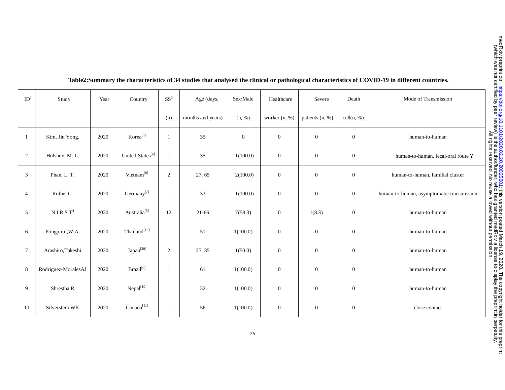| ID <sup>1</sup> | Study               | Year | Country                      | $SS^2$         | Age (days,        | Sex/Male       | Healthcare       | Severe           | Death            | Mode of Transmission                      |
|-----------------|---------------------|------|------------------------------|----------------|-------------------|----------------|------------------|------------------|------------------|-------------------------------------------|
|                 |                     |      |                              | (n)            | months and years) | (n, %)         | worker (n, %)    | patients (n, %)  | toll $(n, %)$    |                                           |
| -1              | Kim, Jin Yong.      | 2020 | Korea <sup>[8]</sup>         | 1              | 35                | $\overline{0}$ | $\boldsymbol{0}$ | $\boldsymbol{0}$ | $\boldsymbol{0}$ | human-to-human                            |
| 2               | Holshue, M. L.      | 2020 | United States <sup>[4]</sup> | 1              | 35                | 1(100.0)       | $\boldsymbol{0}$ | $\boldsymbol{0}$ | $\boldsymbol{0}$ | human-to-human, fecal-oral route?         |
| 3               | Phan, L. T.         | 2020 | Vietnam <sup>[6]</sup>       | 2              | 27, 65            | 2(100.0)       | $\boldsymbol{0}$ | $\overline{0}$   | $\overline{0}$   | human-to-human, familial cluster          |
| $\overline{4}$  | Rothe, C.           | 2020 | Germany $^{[7]}$             |                | 33                | 1(100.0)       | $\boldsymbol{0}$ | $\boldsymbol{0}$ | $\mathbf{0}$     | human-to-human, asymptomatic transmission |
| 5               | $N$ I R S $T^4$     | 2020 | Australia <sup>[5]</sup>     | 12             | $21 - 66$         | 7(58.3)        | $\mathbf{0}$     | 1(8.3)           | $\mathbf{0}$     | human-to-human                            |
| 6               | Pongpirul, W.A.     | 2020 | Thailand <sup>[19]</sup>     | 1              | 51                | 1(100.0)       | $\boldsymbol{0}$ | $\boldsymbol{0}$ | $\boldsymbol{0}$ | human-to-human                            |
| $\overline{7}$  | Arashiro, Takeshi   | 2020 | Japan <sup>[20]</sup>        | $\overline{2}$ | 27, 35            | 1(50.0)        | $\boldsymbol{0}$ | $\boldsymbol{0}$ | $\overline{0}$   | human-to-human                            |
| 8               | Rodriguez-MoralesAJ | 2020 | $Brazil^{[9]}$               | -1             | 61                | 1(100.0)       | $\overline{0}$   | $\overline{0}$   | $\overline{0}$   | human-to-human                            |
| 9               | Shrestha R          | 2020 | Nepal <sup>[10]</sup>        | 1              | $32\,$            | 1(100.0)       | $\boldsymbol{0}$ | $\overline{0}$   | $\overline{0}$   | human-to-human                            |
| 10              | Silverstein WK      | 2020 | Canada <sup>[11]</sup>       | 1              | 56                | 1(100.0)       | $\boldsymbol{0}$ | $\boldsymbol{0}$ | $\boldsymbol{0}$ | close contact                             |

# **Table2:Summary the characteristics of 34 studies that analysed the clinical or pathological characteristics of COVID-19 in different countries.**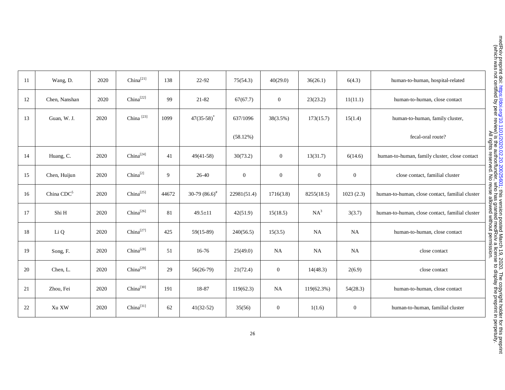| 11 | Wang, D.               | 2020 | China <sup>[21]</sup> | 138   | 22-92                      | 75(54.3)     | 40(29.0)         | 36(26.1)         | 6(4.3)         | human-to-human, hospital-related                |
|----|------------------------|------|-----------------------|-------|----------------------------|--------------|------------------|------------------|----------------|-------------------------------------------------|
| 12 | Chen, Nanshan          | 2020 | China <sup>[22]</sup> | 99    | 21-82                      | 67(67.7)     | $\overline{0}$   | 23(23.2)         | 11(11.1)       | human-to-human, close contact                   |
| 13 | Guan, W. J.            | 2020 | China <sup>[23]</sup> | 1099  | $47(35-58)^*$              | 637/1096     | 38(3.5%)         | 173(15.7)        | 15(1.4)        | human-to-human, family cluster,                 |
|    |                        |      |                       |       |                            | (58.12%)     |                  |                  |                | fecal-oral route?                               |
| 14 | Huang, C.              | 2020 | $China^{[24]}$        | 41    | $49(41-58)$                | 30(73.2)     | $\boldsymbol{0}$ | 13(31.7)         | 6(14.6)        | human-to-human, family cluster, close contact   |
| 15 | Chen, Huijun           | 2020 | $China^{[2]}$         | 9     | 26-40                      | $\mathbf{0}$ | $\boldsymbol{0}$ | $\boldsymbol{0}$ | $\overline{0}$ | close contact, familial cluster                 |
| 16 | China CDC <sup>5</sup> | 2020 | China <sup>[25]</sup> | 44672 | 30-79 $(86.6)^{\text{\#}}$ | 22981(51.4)  | 1716(3.8)        | 8255(18.5)       | 1023(2.3)      | human-to-human, close contact, familial cluster |
| 17 | Shi H                  | 2020 | $China^{[26]}$        | 81    | $49.5 \pm 11$              | 42(51.9)     | 15(18.5)         | $NA^3$           | 3(3.7)         | human-to-human, close contact, familial cluster |
| 18 | Li Q                   | 2020 | China <sup>[27]</sup> | 425   | $59(15-89)$                | 240(56.5)    | 15(3.5)          | NA               | NA             | human-to-human, close contact                   |
| 19 | Song, F.               | 2020 | China <sup>[28]</sup> | 51    | 16-76                      | 25(49.0)     | NA               | NA               | NA             | close contact                                   |
| 20 | Chen, L.               | 2020 | $China^{[29]}$        | 29    | $56(26-79)$                | 21(72.4)     | $\overline{0}$   | 14(48.3)         | 2(6.9)         | close contact                                   |
| 21 | Zhou, Fei              | 2020 | ${\rm China}^{[30]}$  | 191   | 18-87                      | 119(62.3)    | NA               | 119(62.3%)       | 54(28.3)       | human-to-human, close contact                   |
| 22 | Xu XW                  | 2020 | China <sup>[31]</sup> | 62    | $41(32-52)$                | 35(56)       | $\overline{0}$   | 1(1.6)           | $\overline{0}$ | human-to-human, familial cluster                |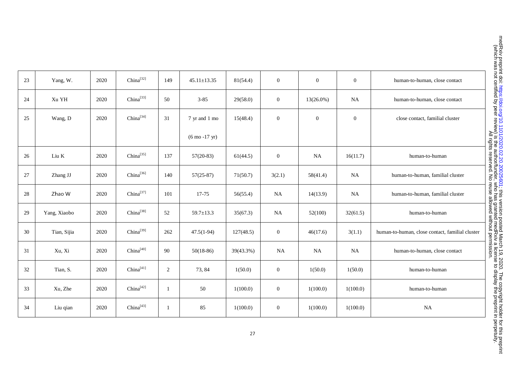| 23 | Yang, W.     | 2020 | China <sup>[32]</sup> | 149 | $45.11 \pm 13.35$                | 81(54.4)  | $\mathbf{0}$     | $\mathbf{0}$ | $\mathbf{0}$ | human-to-human, close contact                   |
|----|--------------|------|-----------------------|-----|----------------------------------|-----------|------------------|--------------|--------------|-------------------------------------------------|
| 24 | Xu YH        | 2020 | China <sup>[33]</sup> | 50  | $3 - 85$                         | 29(58.0)  | $\boldsymbol{0}$ | $13(26.0\%)$ | NA           | human-to-human, close contact                   |
| 25 | Wang, D      | 2020 | China <sup>[34]</sup> | 31  | 7 yr and 1 mo                    | 15(48.4)  | $\boldsymbol{0}$ | $\mathbf{0}$ | $\mathbf{0}$ | close contact, familial cluster                 |
|    |              |      |                       |     | $(6 \text{ mo } -17 \text{ yr})$ |           |                  |              |              |                                                 |
| 26 | Liu K        | 2020 | China <sup>[35]</sup> | 137 | $57(20-83)$                      | 61(44.5)  | $\mathbf{0}$     | NA           | 16(11.7)     | human-to-human                                  |
| 27 | Zhang JJ     | 2020 | China <sup>[36]</sup> | 140 | $57(25-87)$                      | 71(50.7)  | 3(2.1)           | 58(41.4)     | NA           | human-to-human, familial cluster                |
| 28 | Zhao W       | 2020 | China <sup>[37]</sup> | 101 | 17-75                            | 56(55.4)  | NA               | 14(13.9)     | NA           | human-to-human, familial cluster                |
| 29 | Yang, Xiaobo | 2020 | $China^{[38]}$        | 52  | $59.7 \pm 13.3$                  | 35(67.3)  | <b>NA</b>        | 52(100)      | 32(61.5)     | human-to-human                                  |
| 30 | Tian, Sijia  | 2020 | China <sup>[39]</sup> | 262 | $47.5(1-94)$                     | 127(48.5) | $\mathbf{0}$     | 46(17.6)     | 3(1.1)       | human-to-human, close contact, familial cluster |
| 31 | Xu, Xi       | 2020 | China <sup>[40]</sup> | 90  | $50(18-86)$                      | 39(43.3%) | NA               | NA           | NA           | human-to-human, close contact                   |
| 32 | Tian, S.     | 2020 | China <sup>[41]</sup> | 2   | 73, 84                           | 1(50.0)   | $\mathbf{0}$     | 1(50.0)      | 1(50.0)      | human-to-human                                  |
| 33 | Xu, Zhe      | 2020 | China<br>[42]         | -1  | 50                               | 1(100.0)  | $\mathbf{0}$     | 1(100.0)     | 1(100.0)     | human-to-human                                  |
| 34 | Liu qian     | 2020 | China <sup>[43]</sup> | 1   | 85                               | 1(100.0)  | $\mathbf{0}$     | 1(100.0)     | 1(100.0)     | NA                                              |
|    |              |      |                       |     |                                  |           |                  |              |              |                                                 |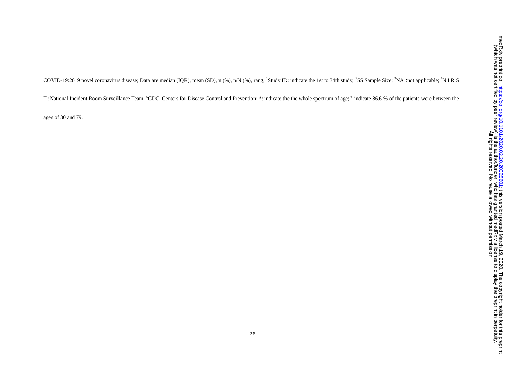COVID-19:2019 novel coronavirus disease; Data are median (IQR), mean (SD), n (%), n/N (%), rang; <sup>1</sup>Study ID: indicate the 1st to 34th study; <sup>2</sup>SS:Sample Size; <sup>3</sup>NA:not applicable; <sup>4</sup>N I R S

T :National Incident Room Surveillance Team; <sup>5</sup>CDC: Centers for Disease Control and Prevention; \*: indicate the the whole spectrum of age; #:indicate 86.6 % of the patients were between the

ages of 30 and 79.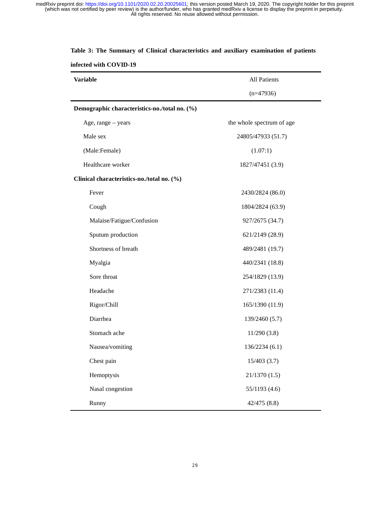| <b>Variable</b>                               | <b>All Patients</b>       |
|-----------------------------------------------|---------------------------|
|                                               | $(n=47936)$               |
| Demographic characteristics-no./total no. (%) |                           |
| Age, range - years                            | the whole spectrum of age |
| Male sex                                      | 24805/47933 (51.7)        |
| (Male:Female)                                 | (1.07:1)                  |
| Healthcare worker                             | 1827/47451 (3.9)          |
| Clinical characteristics-no./total no. (%)    |                           |
| Fever                                         | 2430/2824 (86.0)          |
| Cough                                         | 1804/2824 (63.9)          |
| Malaise/Fatigue/Confusion                     | 927/2675 (34.7)           |
| Sputum production                             | 621/2149 (28.9)           |
| Shortness of breath                           | 489/2481 (19.7)           |
| Myalgia                                       | 440/2341 (18.8)           |
| Sore throat                                   | 254/1829 (13.9)           |
| Headache                                      | 271/2383 (11.4)           |
| Rigor/Chill                                   | 165/1390 (11.9)           |
| Diarrhea                                      | 139/2460 (5.7)            |
| Stomach ache                                  | 11/290(3.8)               |
| Nausea/vomiting                               | 136/2234 (6.1)            |
| Chest pain                                    | 15/403(3.7)               |
| Hemoptysis                                    | 21/1370(1.5)              |
| Nasal congestion                              | 55/1193 (4.6)             |
| Runny                                         | 42/475(8.8)               |

### **Table 3: The Summary of Clinical characteristics and auxiliary examination of patients**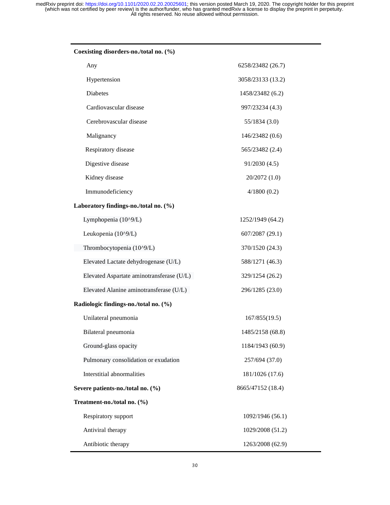| Coexisting disorders-no./total no. (%)    |                   |
|-------------------------------------------|-------------------|
| Any                                       | 6258/23482 (26.7) |
| Hypertension                              | 3058/23133 (13.2) |
| <b>Diabetes</b>                           | 1458/23482 (6.2)  |
| Cardiovascular disease                    | 997/23234 (4.3)   |
| Cerebrovascular disease                   | 55/1834(3.0)      |
| Malignancy                                | 146/23482 (0.6)   |
| Respiratory disease                       | 565/23482 (2.4)   |
| Digestive disease                         | 91/2030(4.5)      |
| Kidney disease                            | 20/2072 (1.0)     |
| Immunodeficiency                          | 4/1800(0.2)       |
| Laboratory findings-no./total no. (%)     |                   |
| Lymphopenia (10^9/L)                      | 1252/1949 (64.2)  |
| Leukopenia (10^9/L)                       | 607/2087 (29.1)   |
| Thrombocytopenia (10^9/L)                 | 370/1520 (24.3)   |
| Elevated Lactate dehydrogenase (U/L)      | 588/1271 (46.3)   |
| Elevated Aspartate aminotransferase (U/L) | 329/1254 (26.2)   |
| Elevated Alanine aminotransferase (U/L)   | 296/1285 (23.0)   |
| Radiologic findings-no./total no. (%)     |                   |
| Unilateral pneumonia                      | 167/855(19.5)     |
| Bilateral pneumonia                       | 1485/2158 (68.8)  |
| Ground-glass opacity                      | 1184/1943 (60.9)  |
| Pulmonary consolidation or exudation      | 257/694 (37.0)    |
| Interstitial abnormalities                | 181/1026 (17.6)   |
| Severe patients-no./total no. (%)         | 8665/47152 (18.4) |
| Treatment-no./total no. (%)               |                   |
| Respiratory support                       | 1092/1946 (56.1)  |
| Antiviral therapy                         | 1029/2008 (51.2)  |
| Antibiotic therapy                        | 1263/2008 (62.9)  |